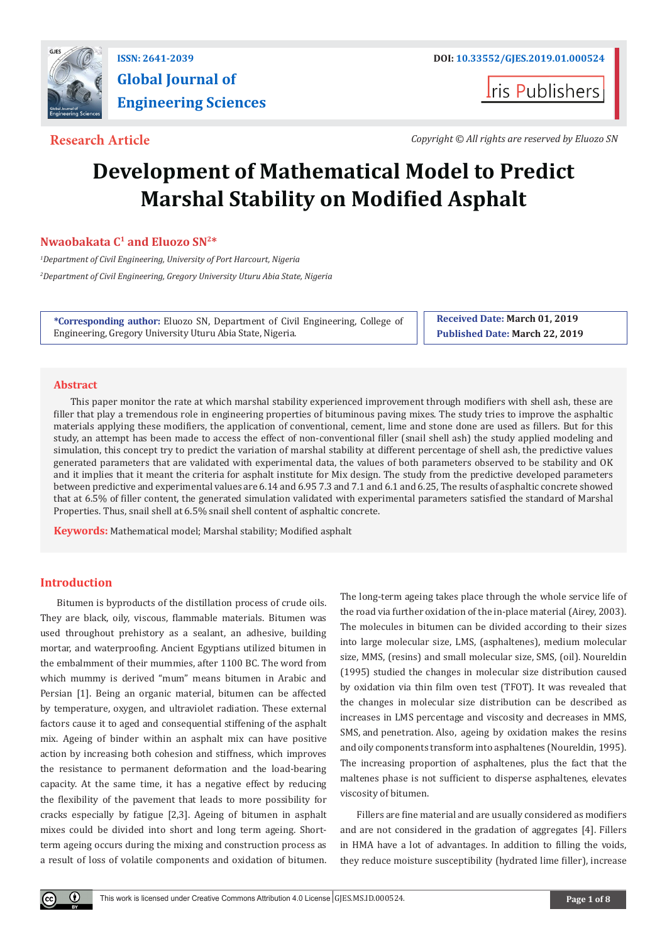

**Global Journal of Engineering Sciences**

**Iris Publishers** 

**Research Article** *Copyright © All rights are reserved by Eluozo SN*

# **Development of Mathematical Model to Predict Marshal Stability on Modified Asphalt**

# **Nwaobakata C1 and Eluozo SN2\***

*1 Department of Civil Engineering, University of Port Harcourt, Nigeria 2 Department of Civil Engineering, Gregory University Uturu Abia State, Nigeria*

**\*Corresponding author:** Eluozo SN, Department of Civil Engineering, College of Engineering, Gregory University Uturu Abia State, Nigeria.

**Received Date: March 01, 2019 Published Date: March 22, 2019**

## **Abstract**

This paper monitor the rate at which marshal stability experienced improvement through modifiers with shell ash, these are filler that play a tremendous role in engineering properties of bituminous paving mixes. The study tries to improve the asphaltic materials applying these modifiers, the application of conventional, cement, lime and stone done are used as fillers. But for this study, an attempt has been made to access the effect of non-conventional filler (snail shell ash) the study applied modeling and simulation, this concept try to predict the variation of marshal stability at different percentage of shell ash, the predictive values generated parameters that are validated with experimental data, the values of both parameters observed to be stability and OK and it implies that it meant the criteria for asphalt institute for Mix design. The study from the predictive developed parameters between predictive and experimental values are 6.14 and 6.95 7.3 and 7.1 and 6.1 and 6.25, The results of asphaltic concrete showed that at 6.5% of filler content, the generated simulation validated with experimental parameters satisfied the standard of Marshal Properties. Thus, snail shell at 6.5% snail shell content of asphaltic concrete.

**Keywords:** Mathematical model; Marshal stability; Modified asphalt

# **Introduction**

Bitumen is byproducts of the distillation process of crude oils. They are black, oily, viscous, flammable materials. Bitumen was used throughout prehistory as a sealant, an adhesive, building mortar, and waterproofing. Ancient Egyptians utilized bitumen in the embalmment of their mummies, after 1100 BC. The word from which mummy is derived "mum" means bitumen in Arabic and Persian [1]. Being an organic material, bitumen can be affected by temperature, oxygen, and ultraviolet radiation. These external factors cause it to aged and consequential stiffening of the asphalt mix. Ageing of binder within an asphalt mix can have positive action by increasing both cohesion and stiffness, which improves the resistance to permanent deformation and the load-bearing capacity. At the same time, it has a negative effect by reducing the flexibility of the pavement that leads to more possibility for cracks especially by fatigue [2,3]. Ageing of bitumen in asphalt mixes could be divided into short and long term ageing. Shortterm ageing occurs during the mixing and construction process as a result of loss of volatile components and oxidation of bitumen. The long-term ageing takes place through the whole service life of the road via further oxidation of the in-place material (Airey, 2003). The molecules in bitumen can be divided according to their sizes into large molecular size, LMS, (asphaltenes), medium molecular size, MMS, (resins) and small molecular size, SMS, (oil). Noureldin (1995) studied the changes in molecular size distribution caused by oxidation via thin film oven test (TFOT). It was revealed that the changes in molecular size distribution can be described as increases in LMS percentage and viscosity and decreases in MMS, SMS, and penetration. Also, ageing by oxidation makes the resins and oily components transform into asphaltenes (Noureldin, 1995). The increasing proportion of asphaltenes, plus the fact that the maltenes phase is not sufficient to disperse asphaltenes, elevates viscosity of bitumen.

Fillers are fine material and are usually considered as modifiers and are not considered in the gradation of aggregates [4]. Fillers in HMA have a lot of advantages. In addition to filling the voids, they reduce moisture susceptibility (hydrated lime filler), increase

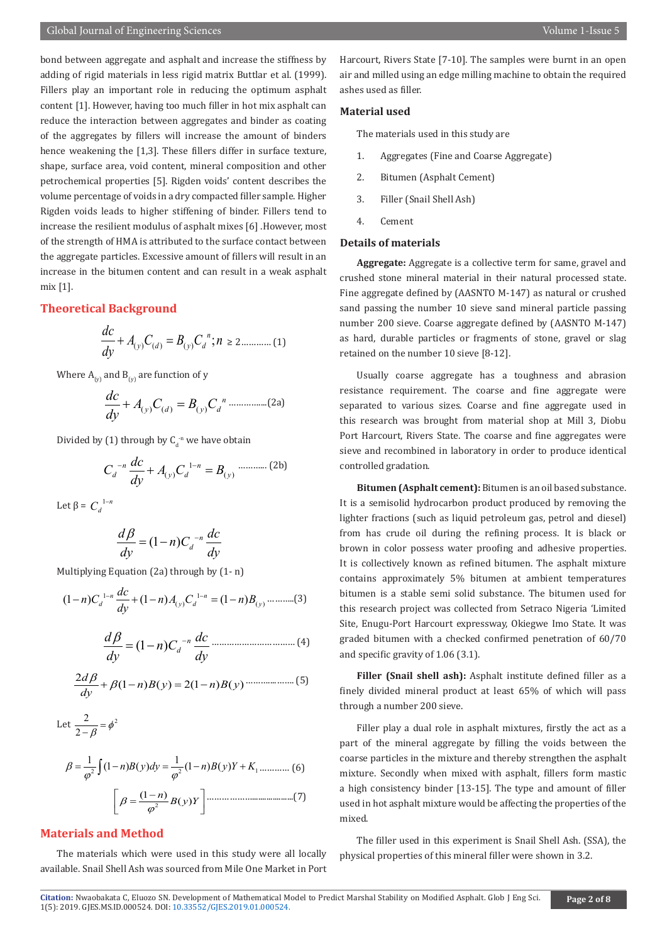#### **Material used**

The materials used in this study are

- 1. Aggregates (Fine and Coarse Aggregate)
- 2. Bitumen (Asphalt Cement)
- 3. Filler (Snail Shell Ash)
- 4. Cement

#### **Details of materials**

**Aggregate:** Aggregate is a collective term for same, gravel and crushed stone mineral material in their natural processed state. Fine aggregate defined by (AASNTO M-147) as natural or crushed sand passing the number 10 sieve sand mineral particle passing number 200 sieve. Coarse aggregate defined by (AASNTO M-147) as hard, durable particles or fragments of stone, gravel or slag retained on the number 10 sieve [8-12].

Usually coarse aggregate has a toughness and abrasion resistance requirement. The coarse and fine aggregate were separated to various sizes. Coarse and fine aggregate used in this research was brought from material shop at Mill 3, Diobu Port Harcourt, Rivers State. The coarse and fine aggregates were sieve and recombined in laboratory in order to produce identical controlled gradation.

**Bitumen (Asphalt cement):** Bitumen is an oil based substance. It is a semisolid hydrocarbon product produced by removing the lighter fractions (such as liquid petroleum gas, petrol and diesel) from has crude oil during the refining process. It is black or brown in color possess water proofing and adhesive properties. It is collectively known as refined bitumen. The asphalt mixture contains approximately 5% bitumen at ambient temperatures bitumen is a stable semi solid substance. The bitumen used for this research project was collected from Setraco Nigeria 'Limited Site, Enugu-Port Harcourt expressway, Okiegwe Imo State. It was graded bitumen with a checked confirmed penetration of 60/70 and specific gravity of 1.06 (3.1).

**Filler (Snail shell ash):** Asphalt institute defined filler as a finely divided mineral product at least 65% of which will pass through a number 200 sieve.

Filler play a dual role in asphalt mixtures, firstly the act as a part of the mineral aggregate by filling the voids between the coarse particles in the mixture and thereby strengthen the asphalt mixture. Secondly when mixed with asphalt, fillers form mastic a high consistency binder [13-15]. The type and amount of filler used in hot asphalt mixture would be affecting the properties of the mixed.

The filler used in this experiment is Snail Shell Ash. (SSA), the physical properties of this mineral filler were shown in 3.2.

bond between aggregate and asphalt and increase the stiffness by adding of rigid materials in less rigid matrix Buttlar et al. (1999). Fillers play an important role in reducing the optimum asphalt content [1]. However, having too much filler in hot mix asphalt can reduce the interaction between aggregates and binder as coating of the aggregates by fillers will increase the amount of binders hence weakening the [1,3]. These fillers differ in surface texture, shape, surface area, void content, mineral composition and other petrochemical properties [5]. Rigden voids' content describes the volume percentage of voids in a dry compacted filler sample. Higher Rigden voids leads to higher stiffening of binder. Fillers tend to increase the resilient modulus of asphalt mixes [6] .However, most of the strength of HMA is attributed to the surface contact between the aggregate particles. Excessive amount of fillers will result in an increase in the bitumen content and can result in a weak asphalt mix [1].

## **Theoretical Background**

$$
\frac{dc}{dy} + A_{(y)}C_{(d)} = B_{(y)}C_d^{n}; n \ge 2 \dots (1)
$$

Where  $A_{(y)}$  and  $B_{(y)}$  are function of y

$$
\frac{dc}{dy} + A_{(y)}C_{(d)} = B_{(y)}C_d^{n}
$$
 ....... (2a)

Divided by (1) through by  $C_d^{\text{-n}}$  we have obtain

$$
C_d^{-n} \frac{dc}{dy} + A_{(y)} C_d^{-1-n} = B_{(y)}
$$
............ (2b)

Let  $\beta = C_d^{1-n}$ 

$$
\frac{d\beta}{dy} = (1-n)C_d^{-n}\frac{dc}{dy}
$$

Multiplying Equation (2a) through by (1- n)

$$
(1-n)C_d^{1-n}\frac{dc}{dy} + (1-n)A_{(y)}C_d^{1-n} = (1-n)B_{(y)} \dots \dots \dots \dots (3)
$$

$$
\frac{d\beta}{dy} = (1 - n)C_d^{-n} \frac{dc}{dy}
$$
................. (4)

$$
\frac{2d\beta}{dy} + \beta(1-n)B(y) = 2(1-n)B(y) \dots (5)
$$

Let 
$$
\frac{2}{2-\beta} = \phi^2
$$

$$
\beta = \frac{1}{\phi^2} \int (1-n)B(y)dy = \frac{1}{\phi^2} (1-n)B(y)Y + K_1 \dots (6)
$$

$$
\left[\beta = \frac{(1-n)}{\phi^2} B(y)Y\right] \dots (7)
$$

# **Materials and Method**

The materials which were used in this study were all locally available. Snail Shell Ash was sourced from Mile One Market in Port

Citation: Nwaobakata C, Eluozo SN. [Development of Mathematical M](http://dx.doi.org/10.33552/GJES.2019.01.000524)odel to Predict Marshal Stability on Modified Asphalt. Glob J Eng Sci. Page 2 of 8<br>1(5): 2019. GJES.MS.ID.000524. DOI: 10.33552/GJES.2019.01.000524.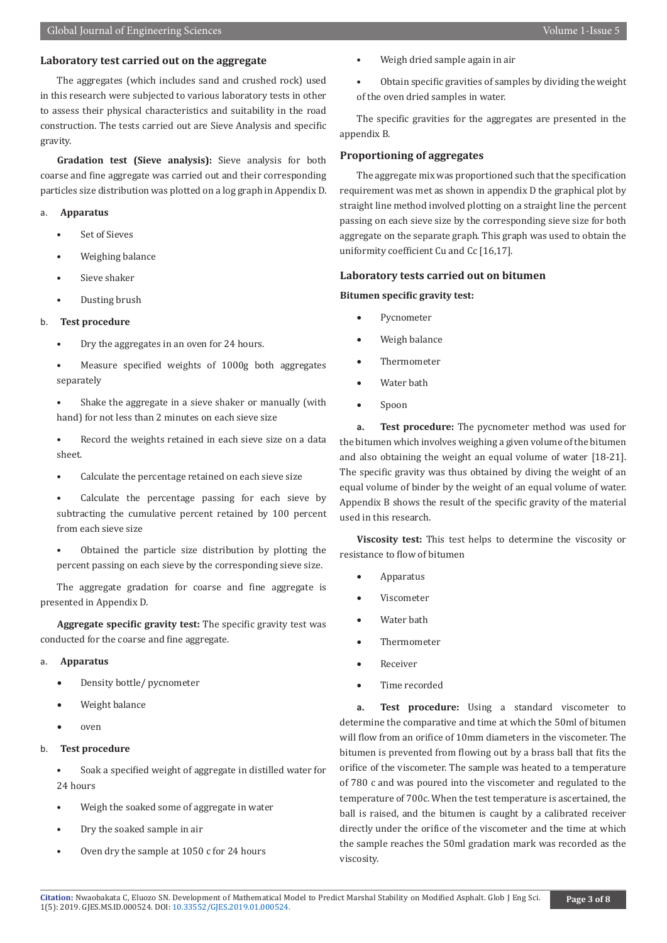#### **Laboratory test carried out on the aggregate**

The aggregates (which includes sand and crushed rock) used in this research were subjected to various laboratory tests in other to assess their physical characteristics and suitability in the road construction. The tests carried out are Sieve Analysis and specific gravity.

**Gradation test (Sieve analysis):** Sieve analysis for both coarse and fine aggregate was carried out and their corresponding particles size distribution was plotted on a log graph in Appendix D.

# a. **Apparatus**

- Set of Sieves
- Weighing balance
- Sieve shaker
- Dusting brush

#### b. **Test procedure**

- Dry the aggregates in an oven for 24 hours.
- Measure specified weights of 1000g both aggregates separately
- Shake the aggregate in a sieve shaker or manually (with hand) for not less than 2 minutes on each sieve size
- Record the weights retained in each sieve size on a data sheet.
- Calculate the percentage retained on each sieve size
- Calculate the percentage passing for each sieve by subtracting the cumulative percent retained by 100 percent from each sieve size
- Obtained the particle size distribution by plotting the percent passing on each sieve by the corresponding sieve size.

The aggregate gradation for coarse and fine aggregate is presented in Appendix D.

**Aggregate specific gravity test:** The specific gravity test was conducted for the coarse and fine aggregate.

#### a. **Apparatus**

- Density bottle/ pycnometer
- Weight balance
- oven

## b. **Test procedure**

• Soak a specified weight of aggregate in distilled water for 24 hours

- Weigh the soaked some of aggregate in water
- Dry the soaked sample in air
- Oven dry the sample at 1050 c for 24 hours
- Weigh dried sample again in air
- Obtain specific gravities of samples by dividing the weight of the oven dried samples in water.

The specific gravities for the aggregates are presented in the appendix B.

## **Proportioning of aggregates**

The aggregate mix was proportioned such that the specification requirement was met as shown in appendix D the graphical plot by straight line method involved plotting on a straight line the percent passing on each sieve size by the corresponding sieve size for both aggregate on the separate graph. This graph was used to obtain the uniformity coefficient Cu and Cc [16,17].

#### **Laboratory tests carried out on bitumen**

**Bitumen specific gravity test:**

- **Pycnometer**
- Weigh balance
- **Thermometer**
- Water bath
- Spoon

**a. Test procedure:** The pycnometer method was used for the bitumen which involves weighing a given volume of the bitumen and also obtaining the weight an equal volume of water [18-21]. The specific gravity was thus obtained by diving the weight of an equal volume of binder by the weight of an equal volume of water. Appendix B shows the result of the specific gravity of the material used in this research.

**Viscosity test:** This test helps to determine the viscosity or resistance to flow of bitumen

- **Apparatus**
- **Viscometer**
- Water hath
- **Thermometer**
- **Receiver**
- Time recorded

**a. Test procedure:** Using a standard viscometer to determine the comparative and time at which the 50ml of bitumen will flow from an orifice of 10mm diameters in the viscometer. The bitumen is prevented from flowing out by a brass ball that fits the orifice of the viscometer. The sample was heated to a temperature of 780 c and was poured into the viscometer and regulated to the temperature of 700c. When the test temperature is ascertained, the ball is raised, and the bitumen is caught by a calibrated receiver directly under the orifice of the viscometer and the time at which the sample reaches the 50ml gradation mark was recorded as the viscosity.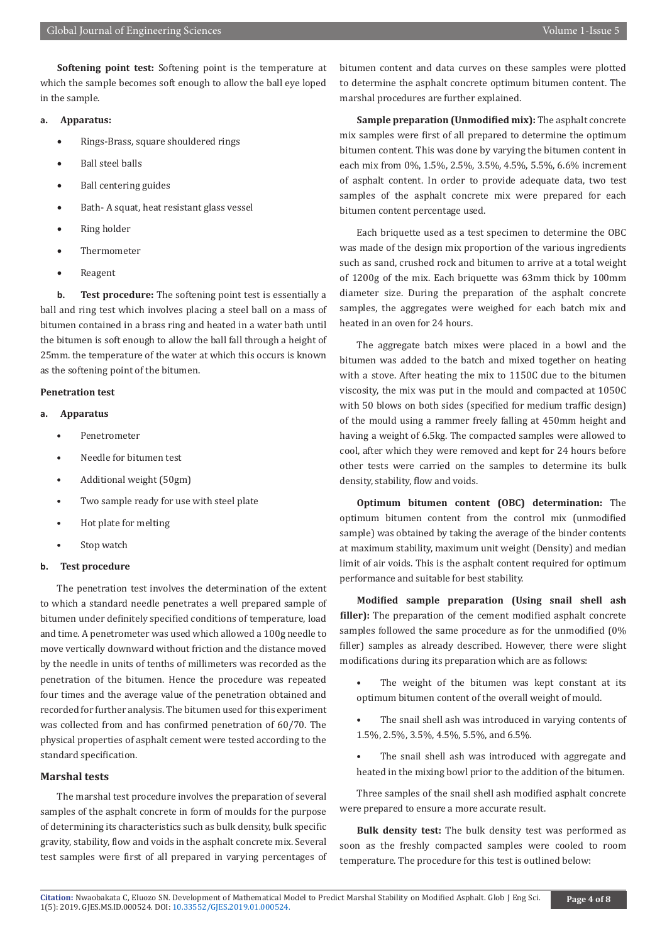**Softening point test:** Softening point is the temperature at which the sample becomes soft enough to allow the ball eye loped in the sample.

# **a. Apparatus:**

- Rings-Brass, square shouldered rings
- **Ball steel balls**
- Ball centering guides
- Bath- A squat, heat resistant glass vessel
- Ring holder
- **Thermometer**
- **Reagent**

**b. Test procedure:** The softening point test is essentially a ball and ring test which involves placing a steel ball on a mass of bitumen contained in a brass ring and heated in a water bath until the bitumen is soft enough to allow the ball fall through a height of 25mm. the temperature of the water at which this occurs is known as the softening point of the bitumen.

#### **Penetration test**

- **a. Apparatus**
	- Penetrometer
	- Needle for bitumen test
	- Additional weight (50gm)
	- Two sample ready for use with steel plate
	- Hot plate for melting
	- Stop watch

#### **b. Test procedure**

The penetration test involves the determination of the extent to which a standard needle penetrates a well prepared sample of bitumen under definitely specified conditions of temperature, load and time. A penetrometer was used which allowed a 100g needle to move vertically downward without friction and the distance moved by the needle in units of tenths of millimeters was recorded as the penetration of the bitumen. Hence the procedure was repeated four times and the average value of the penetration obtained and recorded for further analysis. The bitumen used for this experiment was collected from and has confirmed penetration of 60/70. The physical properties of asphalt cement were tested according to the standard specification.

#### **Marshal tests**

The marshal test procedure involves the preparation of several samples of the asphalt concrete in form of moulds for the purpose of determining its characteristics such as bulk density, bulk specific gravity, stability, flow and voids in the asphalt concrete mix. Several test samples were first of all prepared in varying percentages of bitumen content and data curves on these samples were plotted to determine the asphalt concrete optimum bitumen content. The marshal procedures are further explained.

**Sample preparation (Unmodified mix):** The asphalt concrete mix samples were first of all prepared to determine the optimum bitumen content. This was done by varying the bitumen content in each mix from 0%, 1.5%, 2.5%, 3.5%, 4.5%, 5.5%, 6.6% increment of asphalt content. In order to provide adequate data, two test samples of the asphalt concrete mix were prepared for each bitumen content percentage used.

Each briquette used as a test specimen to determine the OBC was made of the design mix proportion of the various ingredients such as sand, crushed rock and bitumen to arrive at a total weight of 1200g of the mix. Each briquette was 63mm thick by 100mm diameter size. During the preparation of the asphalt concrete samples, the aggregates were weighed for each batch mix and heated in an oven for 24 hours.

The aggregate batch mixes were placed in a bowl and the bitumen was added to the batch and mixed together on heating with a stove. After heating the mix to 1150C due to the bitumen viscosity, the mix was put in the mould and compacted at 1050C with 50 blows on both sides (specified for medium traffic design) of the mould using a rammer freely falling at 450mm height and having a weight of 6.5kg. The compacted samples were allowed to cool, after which they were removed and kept for 24 hours before other tests were carried on the samples to determine its bulk density, stability, flow and voids.

**Optimum bitumen content (OBC) determination:** The optimum bitumen content from the control mix (unmodified sample) was obtained by taking the average of the binder contents at maximum stability, maximum unit weight (Density) and median limit of air voids. This is the asphalt content required for optimum performance and suitable for best stability.

**Modified sample preparation (Using snail shell ash filler):** The preparation of the cement modified asphalt concrete samples followed the same procedure as for the unmodified (0% filler) samples as already described. However, there were slight modifications during its preparation which are as follows:

- The weight of the bitumen was kept constant at its optimum bitumen content of the overall weight of mould.
- The snail shell ash was introduced in varying contents of 1.5%, 2.5%, 3.5%, 4.5%, 5.5%, and 6.5%.
- The snail shell ash was introduced with aggregate and heated in the mixing bowl prior to the addition of the bitumen.

Three samples of the snail shell ash modified asphalt concrete were prepared to ensure a more accurate result.

**Bulk density test:** The bulk density test was performed as soon as the freshly compacted samples were cooled to room temperature. The procedure for this test is outlined below: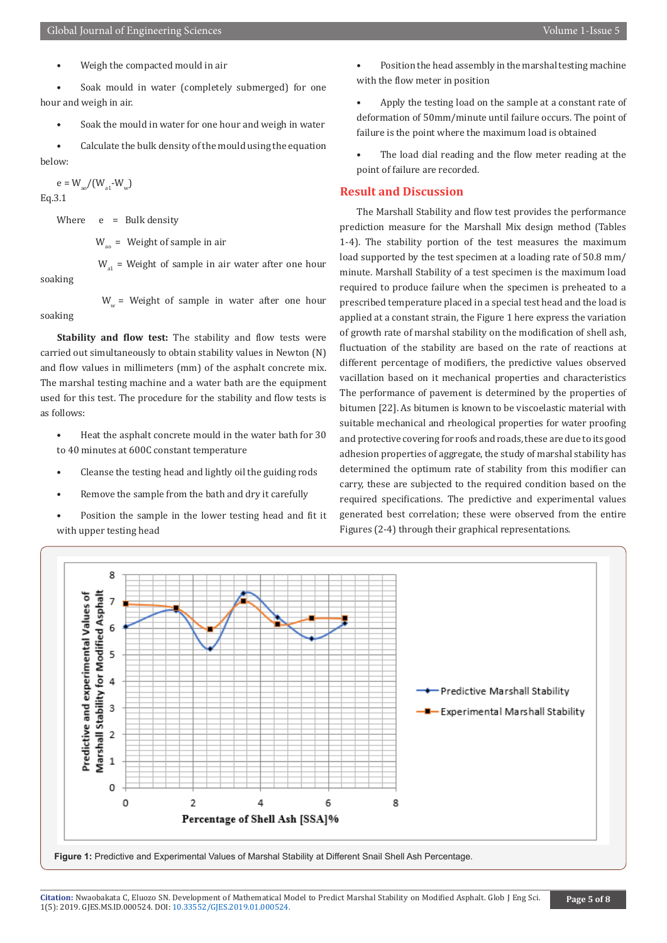• Weigh the compacted mould in air

Soak mould in water (completely submerged) for one hour and weigh in air.

Soak the mould in water for one hour and weigh in water

• Calculate the bulk density of the mould using the equation below:

 $e = W_{\text{eq}}/(W_{\text{eq}}-W_{\text{w}})$ Eq.3.1

Where  $e = Bulk$  density

 $W =$  Weight of sample in air

 $W_{\alpha1}$  = Weight of sample in air water after one hour soaking

 $W_w$  = Weight of sample in water after one hour soaking

**Stability and flow test:** The stability and flow tests were carried out simultaneously to obtain stability values in Newton (N) and flow values in millimeters (mm) of the asphalt concrete mix. The marshal testing machine and a water bath are the equipment used for this test. The procedure for the stability and flow tests is as follows:

- Heat the asphalt concrete mould in the water bath for 30 to 40 minutes at 600C constant temperature
- Cleanse the testing head and lightly oil the guiding rods
- Remove the sample from the bath and dry it carefully
- Position the sample in the lower testing head and fit it with upper testing head
- Position the head assembly in the marshal testing machine with the flow meter in position
- Apply the testing load on the sample at a constant rate of deformation of 50mm/minute until failure occurs. The point of failure is the point where the maximum load is obtained
- The load dial reading and the flow meter reading at the point of failure are recorded.

#### **Result and Discussion**

The Marshall Stability and flow test provides the performance prediction measure for the Marshall Mix design method (Tables 1-4). The stability portion of the test measures the maximum load supported by the test specimen at a loading rate of 50.8 mm/ minute. Marshall Stability of a test specimen is the maximum load required to produce failure when the specimen is preheated to a prescribed temperature placed in a special test head and the load is applied at a constant strain, the Figure 1 here express the variation of growth rate of marshal stability on the modification of shell ash, fluctuation of the stability are based on the rate of reactions at different percentage of modifiers, the predictive values observed vacillation based on it mechanical properties and characteristics The performance of pavement is determined by the properties of bitumen [22]. As bitumen is known to be viscoelastic material with suitable mechanical and rheological properties for water proofing and protective covering for roofs and roads, these are due to its good adhesion properties of aggregate, the study of marshal stability has determined the optimum rate of stability from this modifier can carry, these are subjected to the required condition based on the required specifications. The predictive and experimental values generated best correlation; these were observed from the entire Figures (2-4) through their graphical representations.



**Citation:** Nwaobakata C, Eluozo SN. [Development of Mathematical M](http://dx.doi.org/10.33552/GJES.2019.01.000524)odel to Predict Marshal Stability on Modified Asphalt. Glob J Eng Sci. 1(5): 2019. GJES.MS.ID.000524. DOI: 10.33552/GJES.2019.01.000524.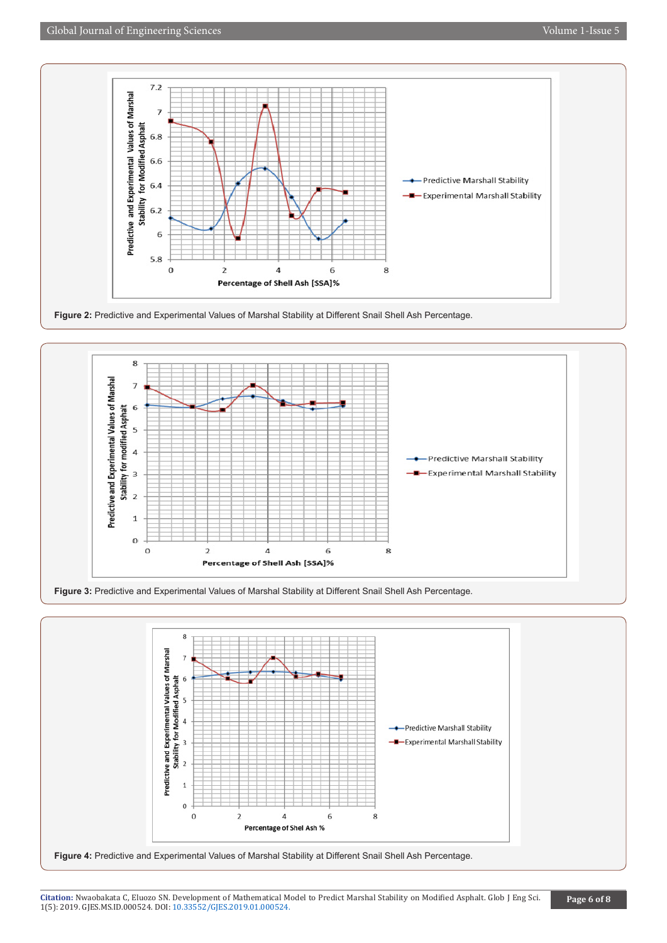





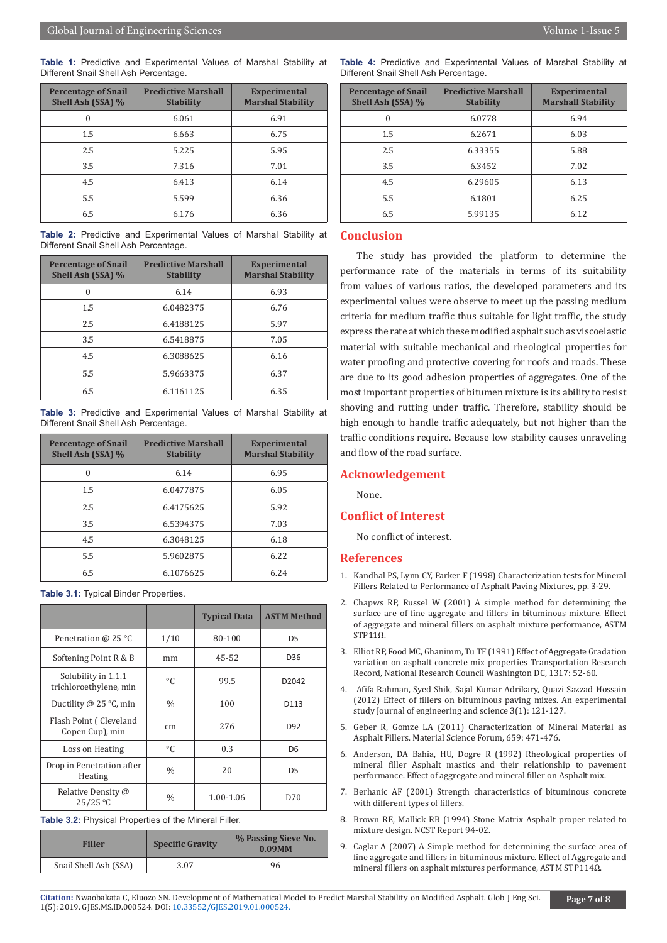**Table 1:** Predictive and Experimental Values of Marshal Stability at Different Snail Shell Ash Percentage.

| <b>Percentage of Snail</b><br>Shell Ash (SSA) % | <b>Predictive Marshall</b><br><b>Stability</b> | <b>Experimental</b><br><b>Marshal Stability</b> |
|-------------------------------------------------|------------------------------------------------|-------------------------------------------------|
| 0                                               | 6.061                                          | 6.91                                            |
| 1.5                                             | 6.663                                          | 6.75                                            |
| 2.5                                             | 5.225                                          | 5.95                                            |
| 3.5                                             | 7.316                                          | 7.01                                            |
| 4.5                                             | 6.413                                          | 6.14                                            |
| 5.5                                             | 5.599                                          | 6.36                                            |
| 6.5                                             | 6.176                                          | 6.36                                            |

**Table 2:** Predictive and Experimental Values of Marshal Stability at Different Snail Shell Ash Percentage.

| <b>Percentage of Snail</b><br>Shell Ash (SSA) % | <b>Predictive Marshall</b><br><b>Stability</b> | <b>Experimental</b><br><b>Marshal Stability</b> |
|-------------------------------------------------|------------------------------------------------|-------------------------------------------------|
| $\theta$                                        | 6.14                                           | 6.93                                            |
| 1.5                                             | 6.0482375                                      | 6.76                                            |
| 2.5                                             | 6.4188125                                      | 5.97                                            |
| 3.5                                             | 6.5418875                                      | 7.05                                            |
| 4.5                                             | 6.3088625                                      | 6.16                                            |
| 5.5                                             | 5.9663375                                      | 6.37                                            |
| 6.5                                             | 6.1161125                                      | 6.35                                            |

**Table 3:** Predictive and Experimental Values of Marshal Stability at Different Snail Shell Ash Percentage.

| <b>Percentage of Snail</b><br>Shell Ash (SSA) % | <b>Predictive Marshall</b><br><b>Stability</b> | <b>Experimental</b><br><b>Marshal Stability</b> |
|-------------------------------------------------|------------------------------------------------|-------------------------------------------------|
| $\theta$                                        | 6.14                                           | 6.95                                            |
| 1.5                                             | 6.0477875                                      | 6.05                                            |
| 2.5                                             | 6.4175625                                      | 5.92                                            |
| 3.5                                             | 6.5394375                                      | 7.03                                            |
| 4.5                                             | 6.3048125                                      | 6.18                                            |
| 5.5                                             | 5.9602875                                      | 6.22                                            |
| 6.5                                             | 6.1076625                                      | 6.24                                            |

**Table 3.1:** Typical Binder Properties.

|                                               |               | <b>Typical Data</b> | <b>ASTM Method</b> |
|-----------------------------------------------|---------------|---------------------|--------------------|
| Penetration @ 25 $^{\circ}$ C                 | 1/10          | 80-100              | D <sub>5</sub>     |
| Softening Point R & B                         | mm            | 45-52               | D <sub>36</sub>    |
| Solubility in 1.1.1<br>trichloroethylene, min | °C            | 99.5                | D <sub>2042</sub>  |
| Ductility $@$ 25 °C, min                      | $\frac{0}{0}$ | 100                 | D113               |
| Flash Point (Cleveland<br>Copen Cup), min     | cm            | 276                 | D92                |
| Loss on Heating                               | $\circ$ C     | 0.3                 | D6                 |
| Drop in Penetration after<br>Heating          | $\%$          | 20                  | D <sub>5</sub>     |
| Relative Density @<br>25/25 °C                | $\frac{0}{0}$ | 1.00-1.06           | D70                |

**Table 3.2:** Physical Properties of the Mineral Filler.

| <b>Filler</b>         | <b>Specific Gravity</b> | % Passing Sieve No.<br>$0.09$ MM |
|-----------------------|-------------------------|----------------------------------|
| Snail Shell Ash (SSA) | 3.07                    | 96                               |

**Table 4:** Predictive and Experimental Values of Marshal Stability at Different Snail Shell Ash Percentage.

| <b>Percentage of Snail</b><br>Shell Ash (SSA) % | <b>Predictive Marshall</b><br><b>Stability</b> | <b>Experimental</b><br><b>Marshall Stability</b> |
|-------------------------------------------------|------------------------------------------------|--------------------------------------------------|
| $\Omega$                                        | 6.0778                                         | 6.94                                             |
| 1.5                                             | 6.2671                                         | 6.03                                             |
| 2.5                                             | 6.33355                                        | 5.88                                             |
| 3.5                                             | 6.3452                                         | 7.02                                             |
| 4.5                                             | 6.29605                                        | 6.13                                             |
| 5.5                                             | 6.1801                                         | 6.25                                             |
| 6.5                                             | 5.99135                                        | 6.12                                             |

#### **Conclusion**

The study has provided the platform to determine the performance rate of the materials in terms of its suitability from values of various ratios, the developed parameters and its experimental values were observe to meet up the passing medium criteria for medium traffic thus suitable for light traffic, the study express the rate at which these modified asphalt such as viscoelastic material with suitable mechanical and rheological properties for water proofing and protective covering for roofs and roads. These are due to its good adhesion properties of aggregates. One of the most important properties of bitumen mixture is its ability to resist shoving and rutting under traffic. Therefore, stability should be high enough to handle traffic adequately, but not higher than the traffic conditions require. Because low stability causes unraveling and flow of the road surface.

# **Acknowledgement**

None.

#### **Conflict of Interest**

No conflict of interest.

#### **References**

- 1. [Kandhal PS, Lynn CY, Parker F \(1998\) Characterization tests for Mineral](http://citeseerx.ist.psu.edu/viewdoc/download?doi=10.1.1.600.9731&rep=rep1&type=pdf) [Fillers Related to Performance of Asphalt Paving Mixtures, pp. 3-29.](http://citeseerx.ist.psu.edu/viewdoc/download?doi=10.1.1.600.9731&rep=rep1&type=pdf)
- 2. Chapws RP, Russel W (2001) A simple method for determining the surface are of fine aggregate and fillers in bituminous mixture. Effect of aggregate and mineral fillers on asphalt mixture performance, ASTM STP11Ω.
- 3. [Elliot RP, Food MC, Ghanimm, Tu TF \(1991\) Effect of Aggregate Gradation](https://trid.trb.org/view/365390) [variation on asphalt concrete mix properties Transportation Research](https://trid.trb.org/view/365390) [Record, National Research Council Washington DC, 1317: 52-60.](https://trid.trb.org/view/365390)
- 4. Afifa Rahman, Syed Shik, Sajal Kumar Adrikary, Quazi Sazzad Hossain (2012) Effect of fillers on bituminous paving mixes. An experimental study Journal of engineering and science 3(1): 121-127.
- 5. [Geber R, Gomze LA \(2011\) Characterization of Mineral Material as](https://www.scientific.net/MSF.659.471) [Asphalt Fillers. Material Science Forum, 659: 471-476.](https://www.scientific.net/MSF.659.471)
- 6. Anderson, DA Bahia, HU, Dogre R (1992) Rheological properties of mineral filler Asphalt mastics and their relationship to pavement performance. Effect of aggregate and mineral filler on Asphalt mix.
- 7. Berhanic AF (2001) Strength characteristics of bituminous concrete with different types of fillers.
- 8. Brown RE, Mallick RB (1994) Stone Matrix Asphalt proper related to mixture design. NCST Report 94-02.
- 9. Caglar A (2007) A Simple method for determining the surface area of fine aggregate and fillers in bituminous mixture. Effect of Aggregate and mineral fillers on asphalt mixtures performance, ASTM STP114Ω.